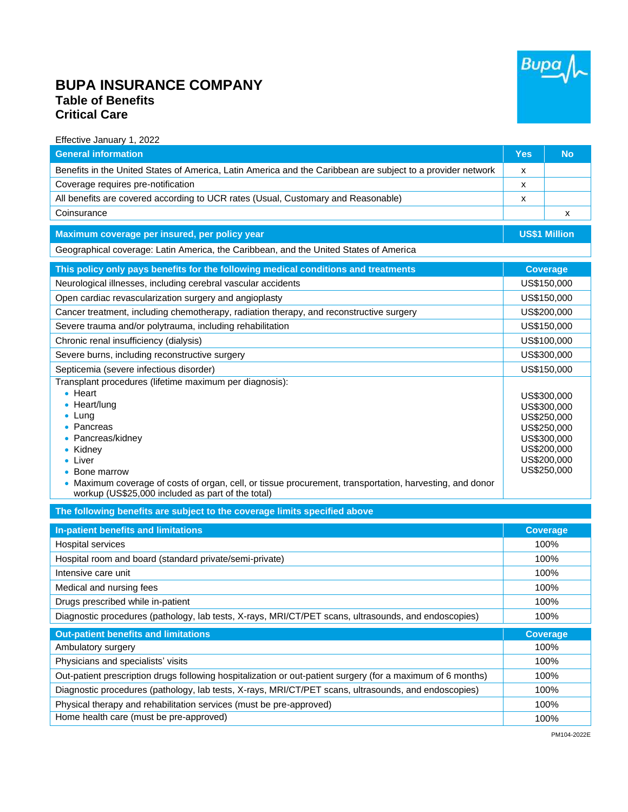

## **BUPA INSURANCE COMPANY Table of Benefits Critical Care**

Effective January 1, 2022

| <b>General information</b>                                                                                                                                                                                                                                                                              | <b>Yes</b>  | <b>No</b>                                                                                                            |
|---------------------------------------------------------------------------------------------------------------------------------------------------------------------------------------------------------------------------------------------------------------------------------------------------------|-------------|----------------------------------------------------------------------------------------------------------------------|
| Benefits in the United States of America, Latin America and the Caribbean are subject to a provider network                                                                                                                                                                                             | X           |                                                                                                                      |
| Coverage requires pre-notification                                                                                                                                                                                                                                                                      | X           |                                                                                                                      |
| All benefits are covered according to UCR rates (Usual, Customary and Reasonable)                                                                                                                                                                                                                       | X           |                                                                                                                      |
| Coinsurance                                                                                                                                                                                                                                                                                             |             | х                                                                                                                    |
| Maximum coverage per insured, per policy year                                                                                                                                                                                                                                                           |             | <b>US\$1 Million</b>                                                                                                 |
| Geographical coverage: Latin America, the Caribbean, and the United States of America                                                                                                                                                                                                                   |             |                                                                                                                      |
| This policy only pays benefits for the following medical conditions and treatments                                                                                                                                                                                                                      |             | <b>Coverage</b>                                                                                                      |
| Neurological illnesses, including cerebral vascular accidents                                                                                                                                                                                                                                           | US\$150,000 |                                                                                                                      |
| Open cardiac revascularization surgery and angioplasty                                                                                                                                                                                                                                                  | US\$150,000 |                                                                                                                      |
| Cancer treatment, including chemotherapy, radiation therapy, and reconstructive surgery                                                                                                                                                                                                                 | US\$200,000 |                                                                                                                      |
| Severe trauma and/or polytrauma, including rehabilitation                                                                                                                                                                                                                                               |             | US\$150,000                                                                                                          |
| Chronic renal insufficiency (dialysis)                                                                                                                                                                                                                                                                  |             | US\$100,000                                                                                                          |
| Severe burns, including reconstructive surgery                                                                                                                                                                                                                                                          |             | US\$300,000                                                                                                          |
| Septicemia (severe infectious disorder)                                                                                                                                                                                                                                                                 |             | US\$150,000                                                                                                          |
| Transplant procedures (lifetime maximum per diagnosis):                                                                                                                                                                                                                                                 |             |                                                                                                                      |
| $\bullet$ Heart<br>$\bullet$ Heart/lung<br>$\bullet$ Lung<br>• Pancreas<br>Pancreas/kidney<br>• Kidney<br>$\bullet$ Liver<br>Bone marrow<br>Maximum coverage of costs of organ, cell, or tissue procurement, transportation, harvesting, and donor<br>workup (US\$25,000 included as part of the total) |             | US\$300,000<br>US\$300,000<br>US\$250,000<br>US\$250,000<br>US\$300,000<br>US\$200,000<br>US\$200,000<br>US\$250,000 |

**The following benefits are subject to the coverage limits specified above**

| <u>the reneming sensitive and das journe more conage immediatement as co</u>                                |                 |
|-------------------------------------------------------------------------------------------------------------|-----------------|
| In-patient benefits and limitations                                                                         | <b>Coverage</b> |
| Hospital services                                                                                           | 100%            |
| Hospital room and board (standard private/semi-private)                                                     | 100%            |
| Intensive care unit                                                                                         | 100%            |
| Medical and nursing fees                                                                                    | 100%            |
| Drugs prescribed while in-patient                                                                           | 100%            |
| Diagnostic procedures (pathology, lab tests, X-rays, MRI/CT/PET scans, ultrasounds, and endoscopies)        | 100%            |
| <b>Out-patient benefits and limitations</b>                                                                 | <b>Coverage</b> |
| Ambulatory surgery                                                                                          | 100%            |
| Physicians and specialists' visits                                                                          | 100%            |
| Out-patient prescription drugs following hospitalization or out-patient surgery (for a maximum of 6 months) | 100%            |
| Diagnostic procedures (pathology, lab tests, X-rays, MRI/CT/PET scans, ultrasounds, and endoscopies)        | 100%            |
| Physical therapy and rehabilitation services (must be pre-approved)                                         | 100%            |
| Home health care (must be pre-approved)                                                                     | 100%            |